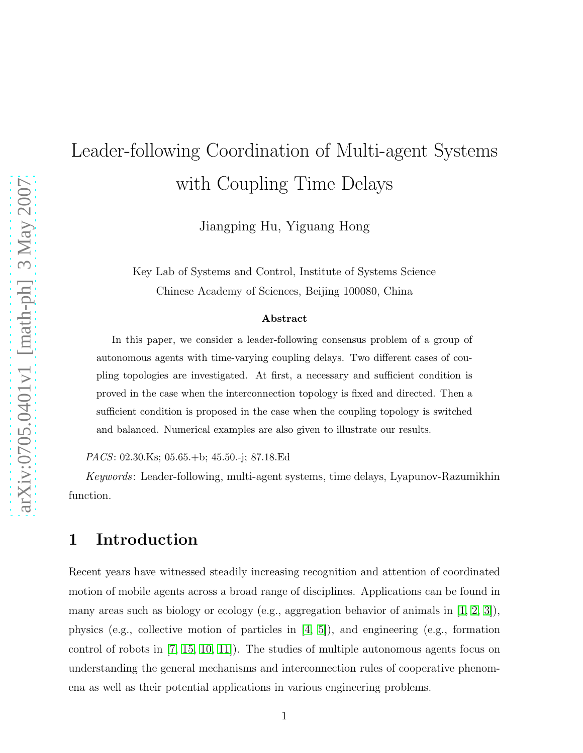# Leader-following Coordination of Multi-agent Systems with Coupling Time Delays

Jiangping Hu, Yiguang Hong

Key Lab of Systems and Control, Institute of Systems Science Chinese Academy of Sciences, Beijing 100080, China

#### Abstract

In this paper, we consider a leader-following consensus problem of a group of autonomous agents with time-varying coupling delays. Two different cases of coupling topologies are investigated. At first, a necessary and sufficient condition is proved in the case when the interconnection topology is fixed and directed. Then a sufficient condition is proposed in the case when the coupling topology is switched and balanced. Numerical examples are also given to illustrate our results.

PACS: 02.30.Ks; 05.65.+b; 45.50.-j; 87.18.Ed

Keywords: Leader-following, multi-agent systems, time delays, Lyapunov-Razumikhin function.

#### 1 Introduction

Recent years have witnessed steadily increasing recognition and attention of coordinated motion of mobile agents across a broad range of disciplines. Applications can be found in many areas such as biology or ecology (e.g., aggregation behavior of animals in [\[1,](#page-15-0) [2,](#page-15-1) [3\]](#page-15-2)), physics (e.g., collective motion of particles in [\[4,](#page-15-3) [5\]](#page-15-4)), and engineering (e.g., formation control of robots in [\[7,](#page-15-5) [15,](#page-15-6) [10,](#page-15-7) [11\]](#page-15-8)). The studies of multiple autonomous agents focus on understanding the general mechanisms and interconnection rules of cooperative phenomena as well as their potential applications in various engineering problems.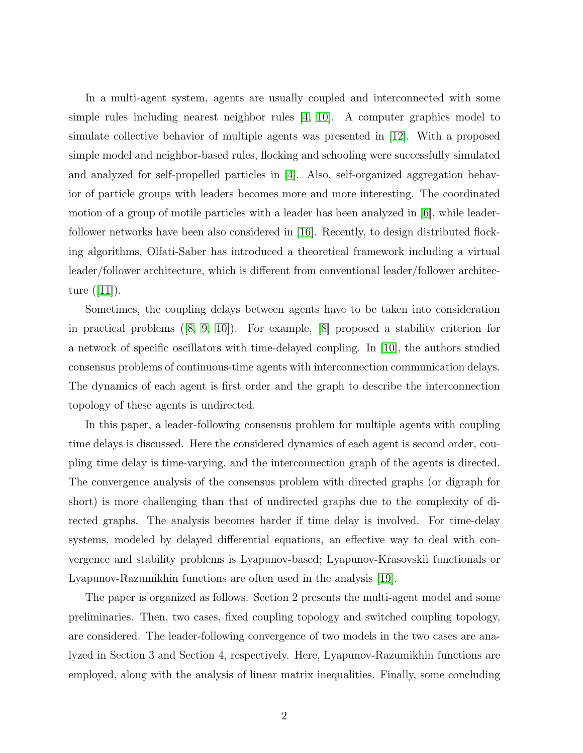In a multi-agent system, agents are usually coupled and interconnected with some simple rules including nearest neighbor rules [\[4,](#page-15-3) [10\]](#page-15-7). A computer graphics model to simulate collective behavior of multiple agents was presented in [\[12\]](#page-15-9). With a proposed simple model and neighbor-based rules, flocking and schooling were successfully simulated and analyzed for self-propelled particles in [\[4\]](#page-15-3). Also, self-organized aggregation behavior of particle groups with leaders becomes more and more interesting. The coordinated motion of a group of motile particles with a leader has been analyzed in [\[6\]](#page-15-10), while leaderfollower networks have been also considered in [\[16\]](#page-15-11). Recently, to design distributed flocking algorithms, Olfati-Saber has introduced a theoretical framework including a virtual leader/follower architecture, which is different from conventional leader/follower architec-ture $(|11|)$ .

Sometimes, the coupling delays between agents have to be taken into consideration in practical problems([\[8,](#page-15-12) [9,](#page-15-13) [10\]](#page-15-7)). For example, [\[8\]](#page-15-12) proposed a stability criterion for a network of specific oscillators with time-delayed coupling. In [\[10\]](#page-15-7), the authors studied consensus problems of continuous-time agents with interconnection communication delays. The dynamics of each agent is first order and the graph to describe the interconnection topology of these agents is undirected.

In this paper, a leader-following consensus problem for multiple agents with coupling time delays is discussed. Here the considered dynamics of each agent is second order, coupling time delay is time-varying, and the interconnection graph of the agents is directed. The convergence analysis of the consensus problem with directed graphs (or digraph for short) is more challenging than that of undirected graphs due to the complexity of directed graphs. The analysis becomes harder if time delay is involved. For time-delay systems, modeled by delayed differential equations, an effective way to deal with convergence and stability problems is Lyapunov-based; Lyapunov-Krasovskii functionals or Lyapunov-Razumikhin functions are often used in the analysis [\[19\]](#page-15-14).

The paper is organized as follows. Section 2 presents the multi-agent model and some preliminaries. Then, two cases, fixed coupling topology and switched coupling topology, are considered. The leader-following convergence of two models in the two cases are analyzed in Section 3 and Section 4, respectively. Here, Lyapunov-Razumikhin functions are employed, along with the analysis of linear matrix inequalities. Finally, some concluding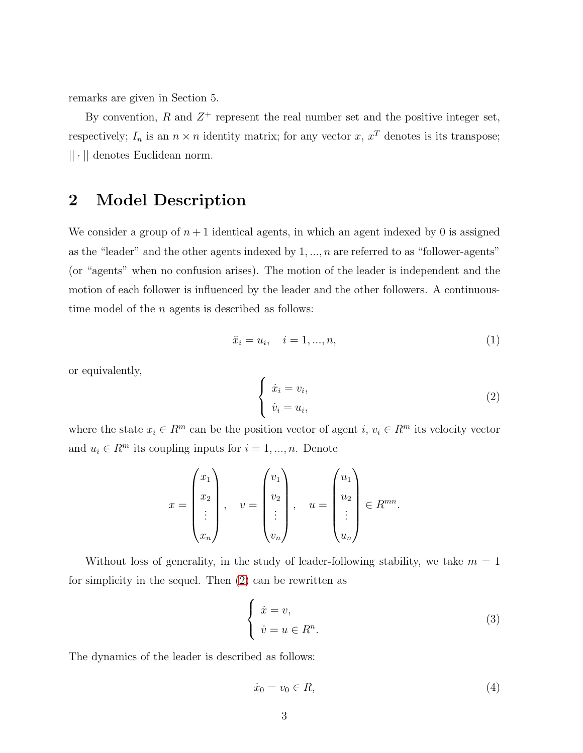remarks are given in Section 5.

By convention,  $R$  and  $Z^+$  represent the real number set and the positive integer set, respectively;  $I_n$  is an  $n \times n$  identity matrix; for any vector x,  $x^T$  denotes is its transpose; || · || denotes Euclidean norm.

#### 2 Model Description

We consider a group of  $n+1$  identical agents, in which an agent indexed by 0 is assigned as the "leader" and the other agents indexed by  $1, \ldots, n$  are referred to as "follower-agents" (or "agents" when no confusion arises). The motion of the leader is independent and the motion of each follower is influenced by the leader and the other followers. A continuoustime model of the  $n$  agents is described as follows:

$$
\ddot{x}_i = u_i, \quad i = 1, ..., n,
$$
\n(1)

or equivalently,

<span id="page-2-0"></span>
$$
\begin{cases} \n\dot{x}_i = v_i, \\ \n\dot{v}_i = u_i, \n\end{cases} \n\tag{2}
$$

where the state  $x_i \in R^m$  can be the position vector of agent  $i, v_i \in R^m$  its velocity vector and  $u_i \in R^m$  its coupling inputs for  $i = 1, ..., n$ . Denote

$$
x = \begin{pmatrix} x_1 \\ x_2 \\ \vdots \\ x_n \end{pmatrix}, \quad v = \begin{pmatrix} v_1 \\ v_2 \\ \vdots \\ v_n \end{pmatrix}, \quad u = \begin{pmatrix} u_1 \\ u_2 \\ \vdots \\ u_n \end{pmatrix} \in R^{mn}.
$$

Without loss of generality, in the study of leader-following stability, we take  $m = 1$ for simplicity in the sequel. Then [\(2\)](#page-2-0) can be rewritten as

$$
\begin{cases}\n\dot{x} = v, \\
\dot{v} = u \in R^n.\n\end{cases} \tag{3}
$$

The dynamics of the leader is described as follows:

$$
\dot{x}_0 = v_0 \in R,\tag{4}
$$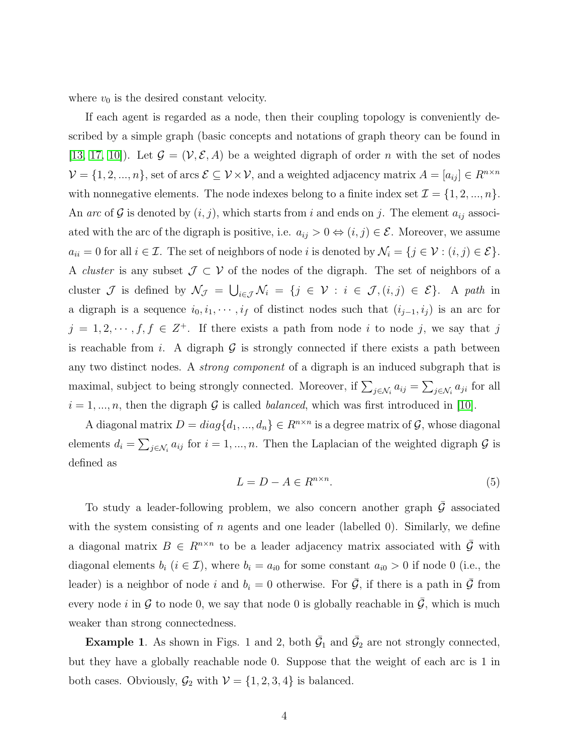where  $v_0$  is the desired constant velocity.

If each agent is regarded as a node, then their coupling topology is conveniently described by a simple graph (basic concepts and notations of graph theory can be found in [\[13,](#page-15-15) [17,](#page-15-16) [10\]](#page-15-7)). Let  $\mathcal{G} = (\mathcal{V}, \mathcal{E}, A)$  be a weighted digraph of order n with the set of nodes  $\mathcal{V} = \{1, 2, ..., n\}$ , set of arcs  $\mathcal{E} \subseteq \mathcal{V} \times \mathcal{V}$ , and a weighted adjacency matrix  $A = [a_{ij}] \in R^{n \times n}$ with nonnegative elements. The node indexes belong to a finite index set  $\mathcal{I} = \{1, 2, ..., n\}$ . An arc of G is denoted by  $(i, j)$ , which starts from i and ends on j. The element  $a_{ij}$  associated with the arc of the digraph is positive, i.e.  $a_{ij} > 0 \Leftrightarrow (i, j) \in \mathcal{E}$ . Moreover, we assume  $a_{ii} = 0$  for all  $i \in \mathcal{I}$ . The set of neighbors of node i is denoted by  $\mathcal{N}_i = \{j \in \mathcal{V} : (i, j) \in \mathcal{E}\}.$ A *cluster* is any subset  $\mathcal{J} \subset \mathcal{V}$  of the nodes of the digraph. The set of neighbors of a cluster  $\mathcal J$  is defined by  $\mathcal N_{\mathcal J} = \bigcup_{i\in\mathcal J}\mathcal N_i = \{j\in\mathcal V : i\in\mathcal J, (i,j)\in\mathcal E\}$ . A path in a digraph is a sequence  $i_0, i_1, \dots, i_f$  of distinct nodes such that  $(i_{j-1}, i_j)$  is an arc for  $j = 1, 2, \dots, f, f \in \mathbb{Z}^+$ . If there exists a path from node i to node j, we say that j is reachable from i. A digraph  $G$  is strongly connected if there exists a path between any two distinct nodes. A strong component of a digraph is an induced subgraph that is maximal, subject to being strongly connected. Moreover, if  $\sum_{j \in \mathcal{N}_i} a_{ij} = \sum_{j \in \mathcal{N}_i} a_{ji}$  for all  $i = 1, ..., n$ , then the digraph G is called *balanced*, which was first introduced in [\[10\]](#page-15-7).

A diagonal matrix  $D = diag{d_1, ..., d_n} \in R^{n \times n}$  is a degree matrix of  $G$ , whose diagonal elements  $d_i = \sum_{j \in \mathcal{N}_i} a_{ij}$  for  $i = 1, ..., n$ . Then the Laplacian of the weighted digraph  $\mathcal G$  is defined as

$$
L = D - A \in R^{n \times n}.\tag{5}
$$

To study a leader-following problem, we also concern another graph  $\bar{\mathcal{G}}$  associated with the system consisting of n agents and one leader (labelled 0). Similarly, we define a diagonal matrix  $B \in R^{n \times n}$  to be a leader adjacency matrix associated with  $\overline{G}$  with diagonal elements  $b_i$   $(i \in \mathcal{I})$ , where  $b_i = a_{i0}$  for some constant  $a_{i0} > 0$  if node 0 (i.e., the leader) is a neighbor of node i and  $b_i = 0$  otherwise. For  $\bar{G}$ , if there is a path in  $\bar{G}$  from every node i in G to node 0, we say that node 0 is globally reachable in  $\overline{G}$ , which is much weaker than strong connectedness.

**Example 1**. As shown in Figs. 1 and 2, both  $\bar{G}_1$  and  $\bar{G}_2$  are not strongly connected, but they have a globally reachable node 0. Suppose that the weight of each arc is 1 in both cases. Obviously,  $\mathcal{G}_2$  with  $\mathcal{V} = \{1, 2, 3, 4\}$  is balanced.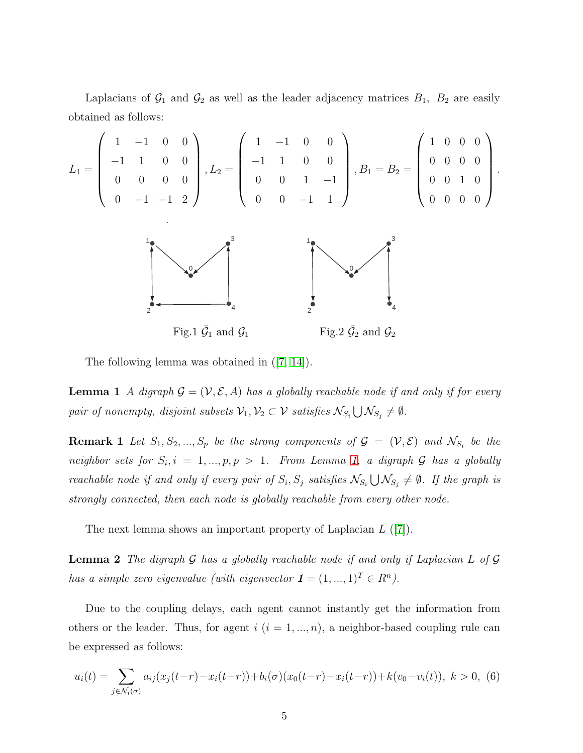Laplacians of  $\mathcal{G}_1$  and  $\mathcal{G}_2$  as well as the leader adjacency matrices  $B_1$ ,  $B_2$  are easily obtained as follows:

.

$$
L_{1} = \begin{pmatrix} 1 & -1 & 0 & 0 \\ -1 & 1 & 0 & 0 \\ 0 & 0 & 0 & 0 \\ 0 & -1 & -1 & 2 \end{pmatrix}, L_{2} = \begin{pmatrix} 1 & -1 & 0 & 0 \\ -1 & 1 & 0 & 0 \\ 0 & 0 & 1 & -1 \\ 0 & 0 & -1 & 1 \end{pmatrix}, B_{1} = B_{2} = \begin{pmatrix} 1 & 0 & 0 & 0 \\ 0 & 0 & 0 & 0 \\ 0 & 0 & 1 & 0 \\ 0 & 0 & 0 & 0 \end{pmatrix}
$$
  
Fig. 1  $\bar{G}_{1}$  and  $\bar{G}_{1}$  Fig. 2  $\bar{G}_{2}$  and  $\bar{G}_{2}$ 

<span id="page-4-0"></span>The following lemma was obtained in([\[7,](#page-15-5) [14\]](#page-15-17)).

**Lemma 1** A digraph  $\mathcal{G} = (\mathcal{V}, \mathcal{E}, A)$  has a globally reachable node if and only if for every pair of nonempty, disjoint subsets  $\mathcal{V}_1, \mathcal{V}_2 \subset \mathcal{V}$  satisfies  $\mathcal{N}_{S_i} \bigcup \mathcal{N}_{S_j} \neq \emptyset$ .

**Remark 1** Let  $S_1, S_2, ..., S_p$  be the strong components of  $\mathcal{G} = (\mathcal{V}, \mathcal{E})$  and  $\mathcal{N}_{S_i}$  be the neighbor sets for  $S_i$ ,  $i = 1, ..., p, p > 1$  $i = 1, ..., p, p > 1$  $i = 1, ..., p, p > 1$ . From Lemma 1, a digraph G has a globally reachable node if and only if every pair of  $S_i$ ,  $S_j$  satisfies  $\mathcal{N}_{S_i} \bigcup \mathcal{N}_{S_j} \neq \emptyset$ . If the graph is strongly connected, then each node is globally reachable from every other node.

<span id="page-4-2"></span>The next lemma shows an important property of Laplacian  $L$  ([\[7\]](#page-15-5)).

**Lemma 2** The digraph  $G$  has a globally reachable node if and only if Laplacian L of  $G$ has a simple zero eigenvalue (with eigenvector  $\mathbf{1} = (1, ..., 1)^T \in R^n$ ).

Due to the coupling delays, each agent cannot instantly get the information from others or the leader. Thus, for agent  $i$   $(i = 1, ..., n)$ , a neighbor-based coupling rule can be expressed as follows:

<span id="page-4-1"></span>
$$
u_i(t) = \sum_{j \in \mathcal{N}_i(\sigma)} a_{ij}(x_j(t-r) - x_i(t-r)) + b_i(\sigma)(x_0(t-r) - x_i(t-r)) + k(v_0 - v_i(t)), \ k > 0, \ (6)
$$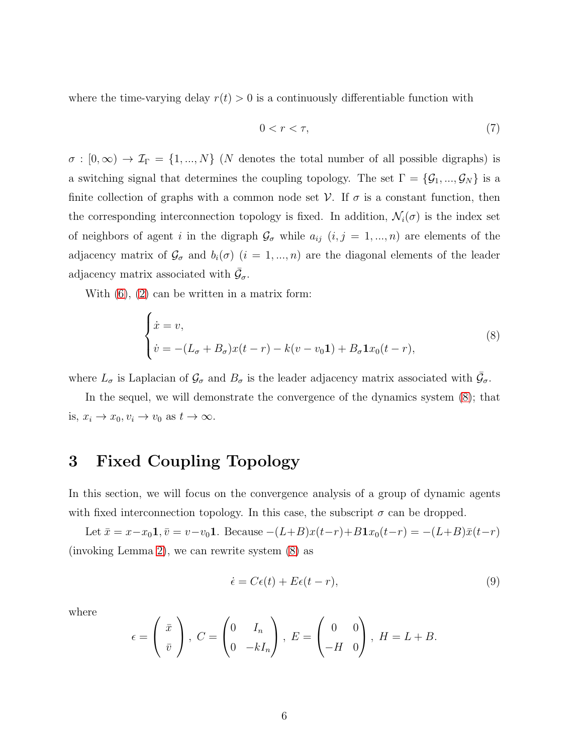where the time-varying delay  $r(t) > 0$  is a continuously differentiable function with

$$
0 < r < \tau,\tag{7}
$$

 $\sigma : [0, \infty) \to \mathcal{I}_{\Gamma} = \{1, ..., N\}$  (*N* denotes the total number of all possible digraphs) is a switching signal that determines the coupling topology. The set  $\Gamma = \{G_1, ..., G_N\}$  is a finite collection of graphs with a common node set  $V$ . If  $\sigma$  is a constant function, then the corresponding interconnection topology is fixed. In addition,  $\mathcal{N}_i(\sigma)$  is the index set of neighbors of agent i in the digraph  $\mathcal{G}_{\sigma}$  while  $a_{ij}$   $(i, j = 1, ..., n)$  are elements of the adjacency matrix of  $\mathcal{G}_{\sigma}$  and  $b_i(\sigma)$   $(i = 1, ..., n)$  are the diagonal elements of the leader adjacency matrix associated with  $\bar{\mathcal{G}}_{\sigma}$ .

With  $(6)$ ,  $(2)$  can be written in a matrix form:

<span id="page-5-0"></span>
$$
\begin{cases}\n\dot{x} = v, \\
\dot{v} = -(L_{\sigma} + B_{\sigma})x(t - r) - k(v - v_0 \mathbf{1}) + B_{\sigma} \mathbf{1}x_0(t - r),\n\end{cases}
$$
\n(8)

where  $L_{\sigma}$  is Laplacian of  $\mathcal{G}_{\sigma}$  and  $B_{\sigma}$  is the leader adjacency matrix associated with  $\bar{\mathcal{G}}_{\sigma}$ .

In the sequel, we will demonstrate the convergence of the dynamics system [\(8\)](#page-5-0); that is,  $x_i \to x_0, v_i \to v_0$  as  $t \to \infty$ .

### 3 Fixed Coupling Topology

In this section, we will focus on the convergence analysis of a group of dynamic agents with fixed interconnection topology. In this case, the subscript  $\sigma$  can be dropped.

Let  $\bar{x} = x - x_0 \mathbf{1}, \bar{v} = v - v_0 \mathbf{1}$ . Because  $-(L+B)x(t-r) + B\mathbf{1}x_0(t-r) = -(L+B)\bar{x}(t-r)$ (invoking Lemma [2\)](#page-4-2), we can rewrite system [\(8\)](#page-5-0) as

<span id="page-5-1"></span>
$$
\dot{\epsilon} = C\epsilon(t) + E\epsilon(t - r),\tag{9}
$$

where

$$
\epsilon = \begin{pmatrix} \bar{x} \\ \bar{v} \end{pmatrix}, C = \begin{pmatrix} 0 & I_n \\ 0 & -kI_n \end{pmatrix}, E = \begin{pmatrix} 0 & 0 \\ -H & 0 \end{pmatrix}, H = L + B.
$$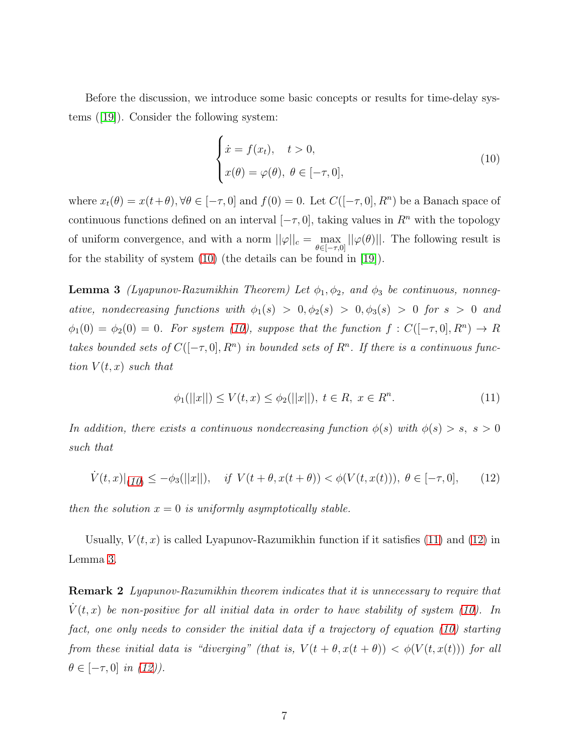Before the discussion, we introduce some basic concepts or results for time-delay systems([\[19\]](#page-15-14)). Consider the following system:

<span id="page-6-0"></span>
$$
\begin{cases}\n\dot{x} = f(x_t), & t > 0, \\
x(\theta) = \varphi(\theta), & \theta \in [-\tau, 0],\n\end{cases}
$$
\n(10)

where  $x_t(\theta) = x(t+\theta), \forall \theta \in [-\tau, 0]$  and  $f(0) = 0$ . Let  $C([-\tau, 0], R^n)$  be a Banach space of continuous functions defined on an interval  $[-\tau, 0]$ , taking values in  $R<sup>n</sup>$  with the topology of uniform convergence, and with a norm  $||\varphi||_c = \max_{\theta \in [-\tau,0]} ||\varphi(\theta)||$ . The following result is for the stability of system [\(10\)](#page-6-0) (the details can be found in [\[19\]](#page-15-14)).

<span id="page-6-3"></span>**Lemma 3** (Lyapunov-Razumikhin Theorem) Let  $\phi_1, \phi_2$ , and  $\phi_3$  be continuous, nonnegative, nondecreasing functions with  $\phi_1(s) > 0, \phi_2(s) > 0, \phi_3(s) > 0$  for  $s > 0$  and  $\phi_1(0) = \phi_2(0) = 0$ . For system [\(10\)](#page-6-0), suppose that the function  $f: C([-\tau, 0], R^n) \to R$ takes bounded sets of  $C([- \tau, 0], R^n)$  in bounded sets of  $R^n$ . If there is a continuous function  $V(t, x)$  such that

<span id="page-6-1"></span>
$$
\phi_1(||x||) \le V(t, x) \le \phi_2(||x||), \ t \in R, \ x \in R^n. \tag{11}
$$

In addition, there exists a continuous nondecreasing function  $\phi(s)$  with  $\phi(s) > s$ ,  $s > 0$ such that

<span id="page-6-2"></span>
$$
\dot{V}(t,x)|_{(10)} \le -\phi_3(||x||), \quad \text{if } V(t+\theta, x(t+\theta)) < \phi(V(t,x(t))), \ \theta \in [-\tau, 0], \tag{12}
$$

then the solution  $x = 0$  is uniformly asymptotically stable.

Usually,  $V(t, x)$  is called Lyapunov-Razumikhin function if it satisfies [\(11\)](#page-6-1) and [\(12\)](#page-6-2) in Lemma [3.](#page-6-3)

**Remark 2** Lyapunov-Razumikhin theorem indicates that it is unnecessary to require that  $\dot{V}(t, x)$  be non-positive for all initial data in order to have stability of system [\(10\)](#page-6-0). In fact, one only needs to consider the initial data if a trajectory of equation [\(10\)](#page-6-0) starting from these initial data is "diverging" (that is,  $V(t + \theta, x(t + \theta)) < \phi(V(t, x(t)))$  for all  $\theta \in [-\tau, 0]$  in [\(12\)](#page-6-2)).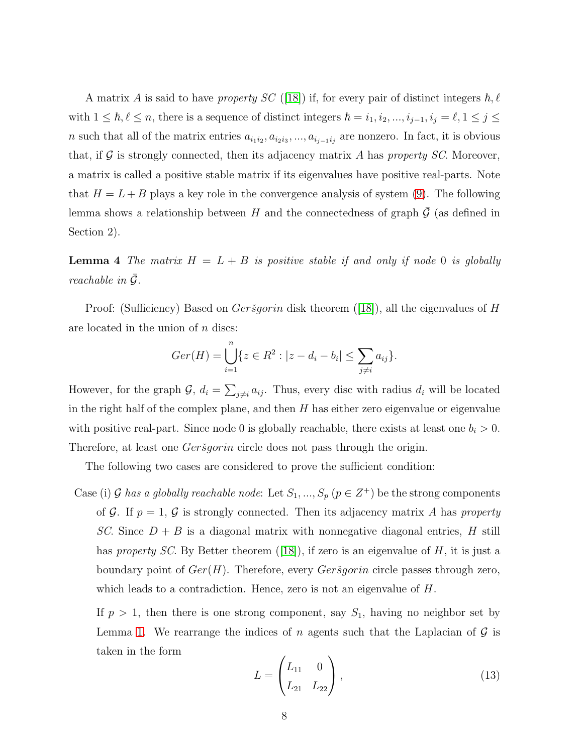A matrix A is said to have property SC ([\[18\]](#page-15-18)) if, for every pair of distinct integers  $\hbar, \ell$ with  $1 \leq \hbar, \ell \leq n$ , there is a sequence of distinct integers  $\hbar = i_1, i_2, ..., i_{j-1}, i_j = \ell, 1 \leq j \leq j$ n such that all of the matrix entries  $a_{i_1 i_2}, a_{i_2 i_3}, ..., a_{i_{j-1} i_j}$  are nonzero. In fact, it is obvious that, if  $G$  is strongly connected, then its adjacency matrix  $A$  has property  $SC$ . Moreover, a matrix is called a positive stable matrix if its eigenvalues have positive real-parts. Note that  $H = L + B$  plays a key role in the convergence analysis of system [\(9\)](#page-5-1). The following lemma shows a relationship between H and the connectedness of graph  $\mathcal G$  (as defined in Section 2).

<span id="page-7-1"></span>**Lemma 4** The matrix  $H = L + B$  is positive stable if and only if node 0 is globally reachable in  $\overline{G}$ .

Proof:(Sufficiency) Based on *Gersgorin* disk theorem ([\[18\]](#page-15-18)), all the eigenvalues of H are located in the union of  $n$  discs:

$$
Ger(H) = \bigcup_{i=1}^{n} \{ z \in R^2 : |z - d_i - b_i| \le \sum_{j \ne i} a_{ij} \}.
$$

However, for the graph  $\mathcal{G}$ ,  $d_i = \sum_{j \neq i} a_{ij}$ . Thus, every disc with radius  $d_i$  will be located in the right half of the complex plane, and then  $H$  has either zero eigenvalue or eigenvalue with positive real-part. Since node 0 is globally reachable, there exists at least one  $b_i > 0$ . Therefore, at least one *Gersgorin* circle does not pass through the origin.

The following two cases are considered to prove the sufficient condition:

Case (i) G has a globally reachable node: Let  $S_1, ..., S_p$   $(p \in Z^+)$  be the strong components of G. If  $p = 1$ , G is strongly connected. Then its adjacency matrix A has property SC. Since  $D + B$  is a diagonal matrix with nonnegative diagonal entries, H still hasproperty SC. By Better theorem ([\[18\]](#page-15-18)), if zero is an eigenvalue of  $H$ , it is just a boundary point of  $Ger(H)$ . Therefore, every  $Ger\check{s}gorin$  circle passes through zero, which leads to a contradiction. Hence, zero is not an eigenvalue of  $H$ .

If  $p > 1$ , then there is one strong component, say  $S_1$ , having no neighbor set by Lemma [1.](#page-4-0) We rearrange the indices of n agents such that the Laplacian of  $\mathcal G$  is taken in the form

<span id="page-7-0"></span>
$$
L = \begin{pmatrix} L_{11} & 0 \\ L_{21} & L_{22} \end{pmatrix},
$$
\n(13)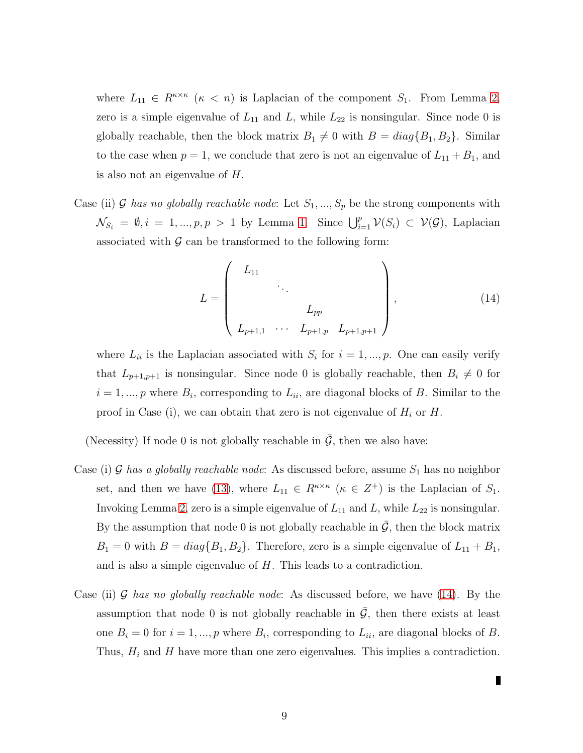where  $L_{11} \in R^{\kappa \times \kappa}$  ( $\kappa < n$ ) is Laplacian of the component  $S_1$ . From Lemma [2,](#page-4-2) zero is a simple eigenvalue of  $L_{11}$  and  $L$ , while  $L_{22}$  is nonsingular. Since node 0 is globally reachable, then the block matrix  $B_1 \neq 0$  with  $B = diag\{B_1, B_2\}$ . Similar to the case when  $p = 1$ , we conclude that zero is not an eigenvalue of  $L_{11} + B_1$ , and is also not an eigenvalue of H.

Case (ii) G has no globally reachable node: Let  $S_1, ..., S_p$  be the strong components with  $\mathcal{N}_{S_i} = \emptyset, i = 1, ..., p, p > 1$  by Lemma [1.](#page-4-0) Since  $\bigcup_{i=1}^p \mathcal{V}(S_i) \subset \mathcal{V}(\mathcal{G})$ , Laplacian associated with  $\mathcal G$  can be transformed to the following form:

<span id="page-8-0"></span>
$$
L = \begin{pmatrix} L_{11} & & & & \\ & \ddots & & & \\ & & L_{pp} & & \\ & & & L_{pp} & \\ L_{p+1,1} & \cdots & L_{p+1,p} & L_{p+1,p+1} \end{pmatrix},
$$
 (14)

where  $L_{ii}$  is the Laplacian associated with  $S_i$  for  $i = 1, ..., p$ . One can easily verify that  $L_{p+1,p+1}$  is nonsingular. Since node 0 is globally reachable, then  $B_i \neq 0$  for  $i = 1, ..., p$  where  $B_i$ , corresponding to  $L_{ii}$ , are diagonal blocks of B. Similar to the proof in Case (i), we can obtain that zero is not eigenvalue of  $H_i$  or  $H$ .

(Necessity) If node 0 is not globally reachable in  $\overline{G}$ , then we also have:

- Case (i) G has a globally reachable node: As discussed before, assume  $S_1$  has no neighbor set, and then we have [\(13\)](#page-7-0), where  $L_{11} \in R^{\kappa \times \kappa}$  ( $\kappa \in Z^+$ ) is the Laplacian of  $S_1$ . Invoking Lemma [2,](#page-4-2) zero is a simple eigenvalue of  $L_{11}$  and L, while  $L_{22}$  is nonsingular. By the assumption that node 0 is not globally reachable in  $\bar{G}$ , then the block matrix  $B_1 = 0$  with  $B = diag\{B_1, B_2\}$ . Therefore, zero is a simple eigenvalue of  $L_{11} + B_1$ , and is also a simple eigenvalue of H. This leads to a contradiction.
- Case (ii) G has no globally reachable node: As discussed before, we have  $(14)$ . By the assumption that node 0 is not globally reachable in  $\overline{G}$ , then there exists at least one  $B_i = 0$  for  $i = 1, ..., p$  where  $B_i$ , corresponding to  $L_{ii}$ , are diagonal blocks of B. Thus,  $H_i$  and H have more than one zero eigenvalues. This implies a contradiction.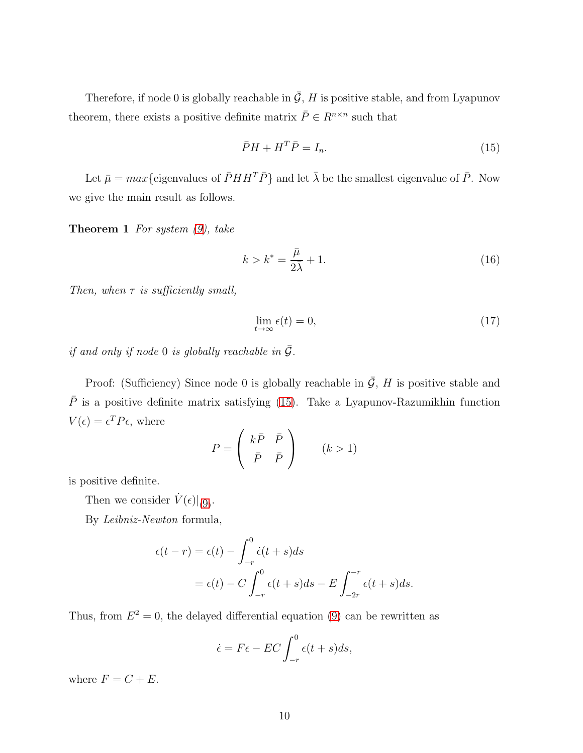Therefore, if node 0 is globally reachable in  $\overline{G}$ , H is positive stable, and from Lyapunov theorem, there exists a positive definite matrix  $\bar{P} \in R^{n \times n}$  such that

<span id="page-9-0"></span>
$$
\bar{P}H + H^T \bar{P} = I_n. \tag{15}
$$

<span id="page-9-2"></span>Let  $\bar{\mu} = max$ {eigenvalues of  $\bar{P}HH^T\bar{P}$ } and let  $\bar{\lambda}$  be the smallest eigenvalue of  $\bar{P}$ . Now we give the main result as follows.

**Theorem 1** For system  $(9)$ , take

<span id="page-9-1"></span>
$$
k > k^* = \frac{\bar{\mu}}{2\bar{\lambda}} + 1. \tag{16}
$$

Then, when  $\tau$  is sufficiently small,

<span id="page-9-3"></span>
$$
\lim_{t \to \infty} \epsilon(t) = 0,\tag{17}
$$

if and only if node 0 is globally reachable in  $\overline{G}$ .

Proof: (Sufficiency) Since node 0 is globally reachable in  $\overline{G}$ , H is positive stable and  $\overline{P}$  is a positive definite matrix satisfying [\(15\)](#page-9-0). Take a Lyapunov-Razumikhin function  $V(\epsilon) = \epsilon^T P \epsilon$ , where

$$
P = \begin{pmatrix} k\bar{P} & \bar{P} \\ \bar{P} & \bar{P} \end{pmatrix} \qquad (k > 1)
$$

is positive definite.

Then we consider  $\dot{V}(\epsilon)|_{(9)}$  $\dot{V}(\epsilon)|_{(9)}$  $\dot{V}(\epsilon)|_{(9)}$ .

By Leibniz-Newton formula,

$$
\epsilon(t-r) = \epsilon(t) - \int_{-r}^{0} \dot{\epsilon}(t+s)ds
$$
  
=  $\epsilon(t) - C \int_{-r}^{0} \epsilon(t+s)ds - E \int_{-2r}^{-r} \epsilon(t+s)ds.$ 

Thus, from  $E^2 = 0$ , the delayed differential equation [\(9\)](#page-5-1) can be rewritten as

$$
\dot{\epsilon} = F\epsilon - EC \int_{-r}^{0} \epsilon(t+s)ds,
$$

where  $F = C + E$ .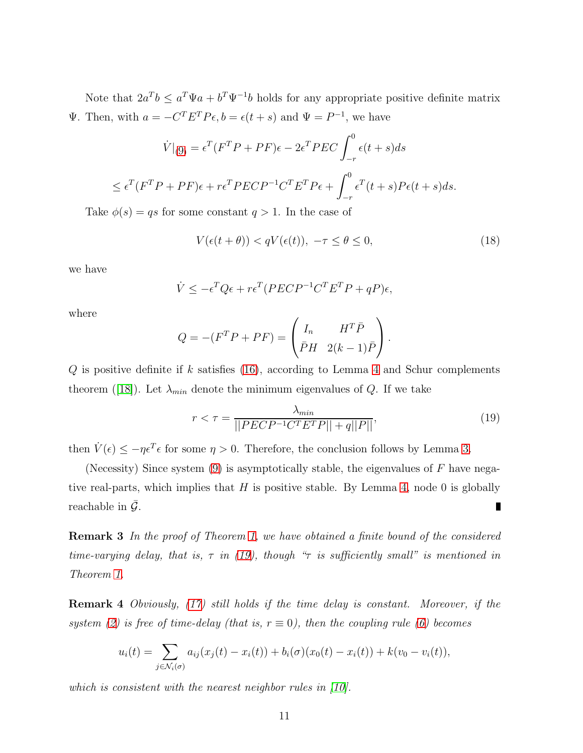Note that  $2a^Tb \le a^T\Psi a + b^T\Psi^{-1}b$  holds for any appropriate positive definite matrix Ψ. Then, with  $a = -C<sup>T</sup> E<sup>T</sup> P \epsilon$ ,  $b = \epsilon(t + s)$  and  $\Psi = P<sup>-1</sup>$ , we have

$$
\dot{V}|_{(9)} = \epsilon^T (F^T P + P F)\epsilon - 2\epsilon^T P E C \int_{-r}^0 \epsilon(t+s)ds
$$
  

$$
\leq \epsilon^T (F^T P + P F)\epsilon + r\epsilon^T P E C P^{-1} C^T E^T P \epsilon + \int_{-r}^0 \epsilon^T (t+s) P \epsilon(t+s)ds.
$$

Take  $\phi(s) = qs$  for some constant  $q > 1$ . In the case of

$$
V(\epsilon(t+\theta)) < qV(\epsilon(t)), \ -\tau \le \theta \le 0,\tag{18}
$$

we have

$$
\dot{V} \le -\epsilon^T Q \epsilon + r \epsilon^T (PECP^{-1}C^T E^T P + qP) \epsilon,
$$

where

$$
Q = -(F^T P + P F) = \begin{pmatrix} I_n & H^T \bar{P} \\ \bar{P} H & 2(k-1) \bar{P} \end{pmatrix}.
$$

 $Q$  is positive definite if k satisfies [\(16\)](#page-9-1), according to Lemma [4](#page-7-1) and Schur complements theorem([\[18\]](#page-15-18)). Let  $\lambda_{min}$  denote the minimum eigenvalues of Q. If we take

<span id="page-10-0"></span>
$$
r < \tau = \frac{\lambda_{min}}{\left| \left| PECP^{-1}C^T E^T P \right| \right| + q \left| P \right| \right|},\tag{19}
$$

then  $\dot{V}(\epsilon) \le -\eta \epsilon^T \epsilon$  for some  $\eta > 0$ . Therefore, the conclusion follows by Lemma [3.](#page-6-3)

(Necessity) Since system  $(9)$  is asymptotically stable, the eigenvalues of F have negative real-parts, which implies that  $H$  is positive stable. By Lemma [4,](#page-7-1) node 0 is globally reachable in  $\mathcal{G}$ . Π

Remark 3 In the proof of Theorem [1,](#page-9-2) we have obtained a finite bound of the considered time-varying delay, that is,  $\tau$  in [\(19\)](#page-10-0), though " $\tau$  is sufficiently small" is mentioned in Theorem [1.](#page-9-2)

Remark 4 Obviously, [\(17\)](#page-9-3) still holds if the time delay is constant. Moreover, if the system [\(2\)](#page-2-0) is free of time-delay (that is,  $r \equiv 0$ ), then the coupling rule [\(6\)](#page-4-1) becomes

$$
u_i(t) = \sum_{j \in \mathcal{N}_i(\sigma)} a_{ij}(x_j(t) - x_i(t)) + b_i(\sigma)(x_0(t) - x_i(t)) + k(v_0 - v_i(t)),
$$

which is consistent with the nearest neighbor rules in  $[10]$ .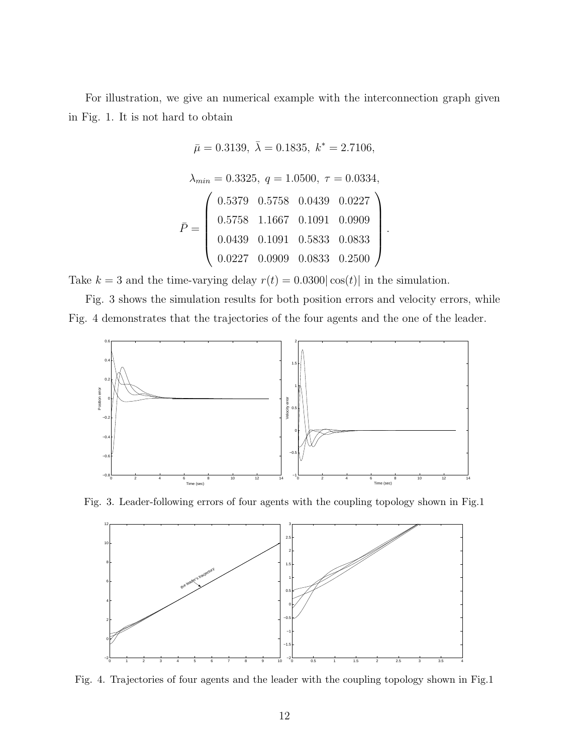For illustration, we give an numerical example with the interconnection graph given in Fig. 1. It is not hard to obtain

$$
\bar{\mu} = 0.3139, \ \bar{\lambda} = 0.1835, \ k^* = 2.7106,
$$
\n
$$
\lambda_{min} = 0.3325, \ q = 1.0500, \ \tau = 0.0334,
$$
\n
$$
\bar{P} = \begin{pmatrix}\n0.5379 & 0.5758 & 0.0439 & 0.0227 \\
0.5758 & 1.1667 & 0.1091 & 0.0909 \\
0.0439 & 0.1091 & 0.5833 & 0.0833 \\
0.0227 & 0.0909 & 0.0833 & 0.2500\n\end{pmatrix}
$$

.

Take  $k = 3$  and the time-varying delay  $r(t) = 0.0300|\cos(t)|$  in the simulation.

Fig. 3 shows the simulation results for both position errors and velocity errors, while Fig. 4 demonstrates that the trajectories of the four agents and the one of the leader.



Fig. 3. Leader-following errors of four agents with the coupling topology shown in Fig.1



Fig. 4. Trajectories of four agents and the leader with the coupling topology shown in Fig.1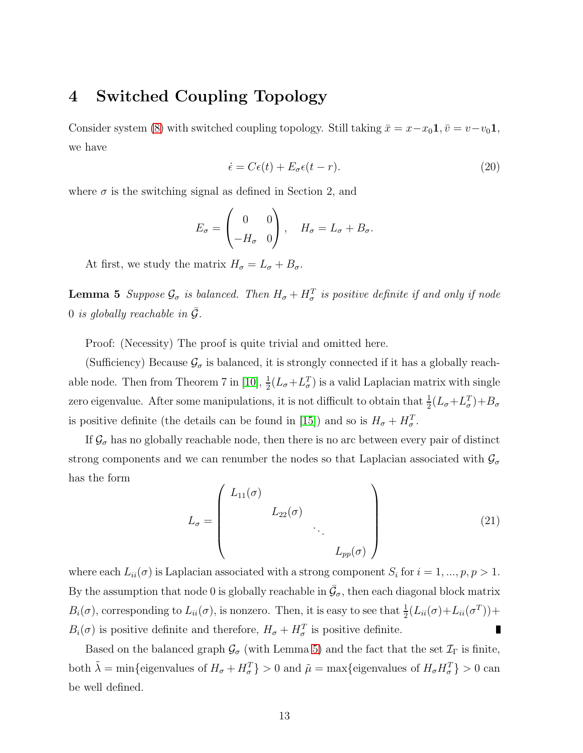#### 4 Switched Coupling Topology

Consider system [\(8\)](#page-5-0) with switched coupling topology. Still taking  $\bar{x} = x - x_0 \mathbf{1}, \bar{v} = v - v_0 \mathbf{1}$ , we have

<span id="page-12-1"></span>
$$
\dot{\epsilon} = C\epsilon(t) + E_{\sigma}\epsilon(t-r). \tag{20}
$$

where  $\sigma$  is the switching signal as defined in Section 2, and

$$
E_{\sigma} = \begin{pmatrix} 0 & 0 \\ -H_{\sigma} & 0 \end{pmatrix}, \quad H_{\sigma} = L_{\sigma} + B_{\sigma}.
$$

<span id="page-12-0"></span>At first, we study the matrix  $H_{\sigma} = L_{\sigma} + B_{\sigma}$ .

**Lemma 5** Suppose  $\mathcal{G}_{\sigma}$  is balanced. Then  $H_{\sigma} + H_{\sigma}^T$  is positive definite if and only if node 0 is globally reachable in  $\overline{G}$ .

Proof: (Necessity) The proof is quite trivial and omitted here.

(Sufficiency) Because  $\mathcal{G}_{\sigma}$  is balanced, it is strongly connected if it has a globally reach-able node. Then from Theorem 7 in [\[10\]](#page-15-7),  $\frac{1}{2}(L_{\sigma}+L_{\sigma}^{T})$  is a valid Laplacian matrix with single zero eigenvalue. After some manipulations, it is not difficult to obtain that  $\frac{1}{2}(L_{\sigma}+L_{\sigma}^{T})+B_{\sigma}$ is positive definite (the details can be found in [\[15\]](#page-15-6)) and so is  $H_{\sigma} + H_{\sigma}^{T}$ .

If  $\mathcal{G}_{\sigma}$  has no globally reachable node, then there is no arc between every pair of distinct strong components and we can renumber the nodes so that Laplacian associated with  $\mathcal{G}_{\sigma}$ has the form

$$
L_{\sigma} = \begin{pmatrix} L_{11}(\sigma) & & & \\ & L_{22}(\sigma) & & \\ & & \ddots & \\ & & & L_{pp}(\sigma) \end{pmatrix}
$$
 (21)

where each  $L_{ii}(\sigma)$  is Laplacian associated with a strong component  $S_i$  for  $i = 1, ..., p, p > 1$ . By the assumption that node 0 is globally reachable in  $\bar{\mathcal{G}}_{\sigma}$ , then each diagonal block matrix  $B_i(\sigma)$ , corresponding to  $L_{ii}(\sigma)$ , is nonzero. Then, it is easy to see that  $\frac{1}{2}(L_{ii}(\sigma)+L_{ii}(\sigma^T))+$  $B_i(\sigma)$  is positive definite and therefore,  $H_{\sigma} + H_{\sigma}^T$  is positive definite.  $\blacksquare$ 

<span id="page-12-2"></span>Based on the balanced graph  $\mathcal{G}_{\sigma}$  (with Lemma [5\)](#page-12-0) and the fact that the set  $\mathcal{I}_{\Gamma}$  is finite, both  $\tilde{\lambda} = \min\{\text{eigenvalues of } H_{\sigma} + H_{\sigma}^T\} > 0 \text{ and } \tilde{\mu} = \max\{\text{eigenvalues of } H_{\sigma} H_{\sigma}^T\} > 0 \text{ can}$ be well defined.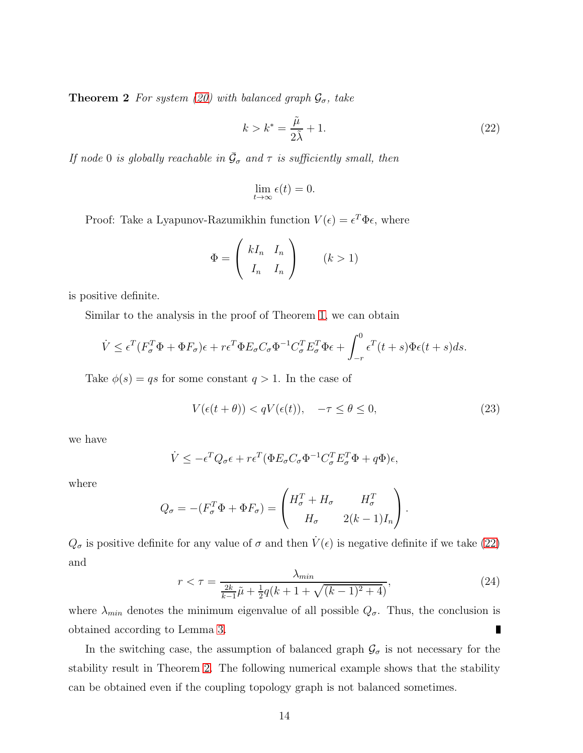**Theorem 2** For system [\(20\)](#page-12-1) with balanced graph  $\mathcal{G}_{\sigma}$ , take

<span id="page-13-0"></span>
$$
k > k^* = \frac{\tilde{\mu}}{2\tilde{\lambda}} + 1.
$$
\n(22)

If node 0 is globally reachable in  $\bar{\mathcal{G}}_{\sigma}$  and  $\tau$  is sufficiently small, then

$$
\lim_{t \to \infty} \epsilon(t) = 0.
$$

Proof: Take a Lyapunov-Razumikhin function  $V(\epsilon) = \epsilon^T \Phi \epsilon$ , where

$$
\Phi = \begin{pmatrix} kI_n & I_n \\ I_n & I_n \end{pmatrix} \qquad (k > 1)
$$

is positive definite.

Similar to the analysis in the proof of Theorem [1,](#page-9-2) we can obtain

$$
\dot{V} \leq \epsilon^T (F_\sigma^T \Phi + \Phi F_\sigma) \epsilon + r \epsilon^T \Phi E_\sigma C_\sigma \Phi^{-1} C_\sigma^T E_\sigma^T \Phi \epsilon + \int_{-r}^0 \epsilon^T (t+s) \Phi \epsilon (t+s) ds.
$$

Take  $\phi(s) = qs$  for some constant  $q > 1$ . In the case of

$$
V(\epsilon(t+\theta)) < qV(\epsilon(t)), \quad -\tau \le \theta \le 0,\tag{23}
$$

we have

$$
\dot{V} \le -\epsilon^T Q_\sigma \epsilon + r\epsilon^T (\Phi E_\sigma C_\sigma \Phi^{-1} C_\sigma^T E_\sigma^T \Phi + q\Phi)\epsilon,
$$

where

$$
Q_{\sigma} = -(F_{\sigma}^T \Phi + \Phi F_{\sigma}) = \begin{pmatrix} H_{\sigma}^T + H_{\sigma} & H_{\sigma}^T \\ H_{\sigma} & 2(k-1)I_n \end{pmatrix}.
$$

 $Q_{\sigma}$  is positive definite for any value of  $\sigma$  and then  $V(\epsilon)$  is negative definite if we take [\(22\)](#page-13-0) and

$$
r < \tau = \frac{\lambda_{\min}}{\frac{2k}{k-1}\tilde{\mu} + \frac{1}{2}q(k+1+\sqrt{(k-1)^2+4})},\tag{24}
$$

where  $\lambda_{min}$  denotes the minimum eigenvalue of all possible  $Q_{\sigma}$ . Thus, the conclusion is obtained according to Lemma [3.](#page-6-3)

In the switching case, the assumption of balanced graph  $\mathcal{G}_{\sigma}$  is not necessary for the stability result in Theorem [2.](#page-12-2) The following numerical example shows that the stability can be obtained even if the coupling topology graph is not balanced sometimes.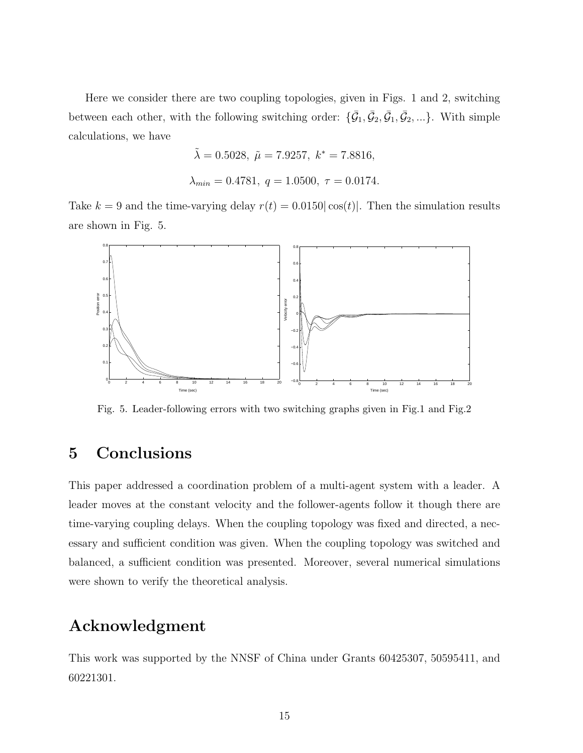Here we consider there are two coupling topologies, given in Figs. 1 and 2, switching between each other, with the following switching order:  $\{\bar{G}_1, \bar{G}_2, \bar{G}_1, \bar{G}_2, ...\}$ . With simple calculations, we have

$$
\tilde{\lambda} = 0.5028, \ \tilde{\mu} = 7.9257, \ k^* = 7.8816,
$$
  
 $\lambda_{min} = 0.4781, \ q = 1.0500, \ \tau = 0.0174.$ 

Take  $k = 9$  and the time-varying delay  $r(t) = 0.0150|\cos(t)|$ . Then the simulation results are shown in Fig. 5.



Fig. 5. Leader-following errors with two switching graphs given in Fig.1 and Fig.2

## 5 Conclusions

This paper addressed a coordination problem of a multi-agent system with a leader. A leader moves at the constant velocity and the follower-agents follow it though there are time-varying coupling delays. When the coupling topology was fixed and directed, a necessary and sufficient condition was given. When the coupling topology was switched and balanced, a sufficient condition was presented. Moreover, several numerical simulations were shown to verify the theoretical analysis.

#### Acknowledgment

This work was supported by the NNSF of China under Grants 60425307, 50595411, and 60221301.